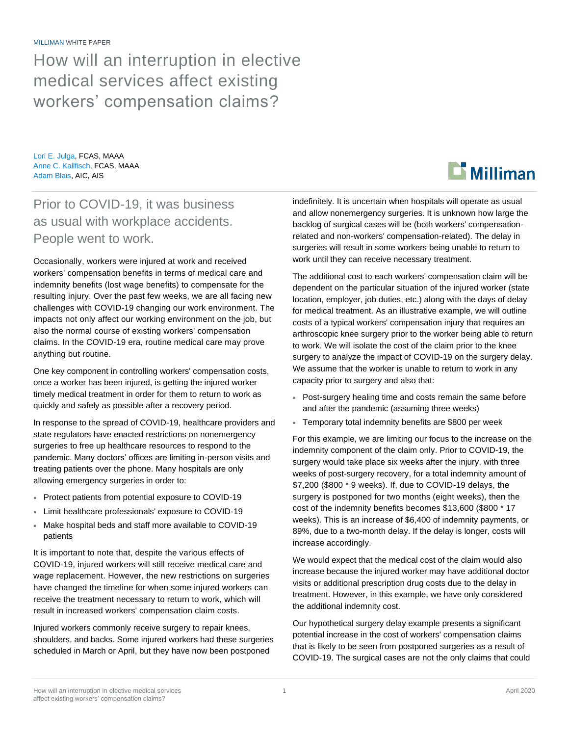MILLIMAN WHITE PAPER

How will an interruption in elective medical services affect existing workers' compensation claims?

Lori E. Julga, FCAS, MAAA Anne C. Kallfisch, FCAS, MAAA Adam Blais, AIC, AIS

## Prior to COVID-19, it was business as usual with workplace accidents. People went to work.

Occasionally, workers were injured at work and received workers' compensation benefits in terms of medical care and indemnity benefits (lost wage benefits) to compensate for the resulting injury. Over the past few weeks, we are all facing new challenges with COVID-19 changing our work environment. The impacts not only affect our working environment on the job, but also the normal course of existing workers' compensation claims. In the COVID-19 era, routine medical care may prove anything but routine.

One key component in controlling workers' compensation costs, once a worker has been injured, is getting the injured worker timely medical treatment in order for them to return to work as quickly and safely as possible after a recovery period.

In response to the spread of COVID-19, healthcare providers and state regulators have enacted restrictions on nonemergency surgeries to free up healthcare resources to respond to the pandemic. Many doctors' offices are limiting in-person visits and treating patients over the phone. Many hospitals are only allowing emergency surgeries in order to:

- Protect patients from potential exposure to COVID-19
- Limit healthcare professionals' exposure to COVID-19
- Make hospital beds and staff more available to COVID-19 patients

It is important to note that, despite the various effects of COVID-19, injured workers will still receive medical care and wage replacement. However, the new restrictions on surgeries have changed the timeline for when some injured workers can receive the treatment necessary to return to work, which will result in increased workers' compensation claim costs.

Injured workers commonly receive surgery to repair knees, shoulders, and backs. Some injured workers had these surgeries scheduled in March or April, but they have now been postponed



indefinitely. It is uncertain when hospitals will operate as usual and allow nonemergency surgeries. It is unknown how large the backlog of surgical cases will be (both workers' compensationrelated and non-workers' compensation-related). The delay in surgeries will result in some workers being unable to return to work until they can receive necessary treatment.

The additional cost to each workers' compensation claim will be dependent on the particular situation of the injured worker (state location, employer, job duties, etc.) along with the days of delay for medical treatment. As an illustrative example, we will outline costs of a typical workers' compensation injury that requires an arthroscopic knee surgery prior to the worker being able to return to work. We will isolate the cost of the claim prior to the knee surgery to analyze the impact of COVID-19 on the surgery delay. We assume that the worker is unable to return to work in any capacity prior to surgery and also that:

- Post-surgery healing time and costs remain the same before and after the pandemic (assuming three weeks)
- Temporary total indemnity benefits are \$800 per week

For this example, we are limiting our focus to the increase on the indemnity component of the claim only. Prior to COVID-19, the surgery would take place six weeks after the injury, with three weeks of post-surgery recovery, for a total indemnity amount of \$7,200 (\$800 \* 9 weeks). If, due to COVID-19 delays, the surgery is postponed for two months (eight weeks), then the cost of the indemnity benefits becomes \$13,600 (\$800 \* 17 weeks). This is an increase of \$6,400 of indemnity payments, or 89%, due to a two-month delay. If the delay is longer, costs will increase accordingly.

We would expect that the medical cost of the claim would also increase because the injured worker may have additional doctor visits or additional prescription drug costs due to the delay in treatment. However, in this example, we have only considered the additional indemnity cost.

Our hypothetical surgery delay example presents a significant potential increase in the cost of workers' compensation claims that is likely to be seen from postponed surgeries as a result of COVID-19. The surgical cases are not the only claims that could